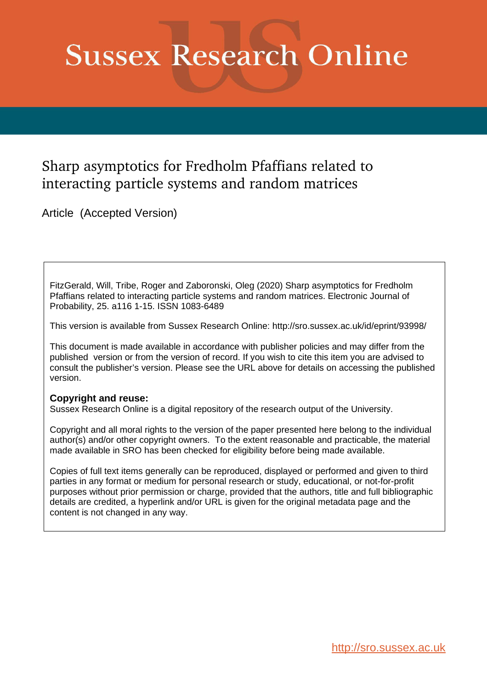# **Sussex Research Online**

## Sharp asymptotics for Fredholm Pfaffians related to interacting particle systems and random matrices

Article (Accepted Version)

FitzGerald, Will, Tribe, Roger and Zaboronski, Oleg (2020) Sharp asymptotics for Fredholm Pfaffians related to interacting particle systems and random matrices. Electronic Journal of Probability, 25. a116 1-15. ISSN 1083-6489

This version is available from Sussex Research Online: http://sro.sussex.ac.uk/id/eprint/93998/

This document is made available in accordance with publisher policies and may differ from the published version or from the version of record. If you wish to cite this item you are advised to consult the publisher's version. Please see the URL above for details on accessing the published version.

#### **Copyright and reuse:**

Sussex Research Online is a digital repository of the research output of the University.

Copyright and all moral rights to the version of the paper presented here belong to the individual author(s) and/or other copyright owners. To the extent reasonable and practicable, the material made available in SRO has been checked for eligibility before being made available.

Copies of full text items generally can be reproduced, displayed or performed and given to third parties in any format or medium for personal research or study, educational, or not-for-profit purposes without prior permission or charge, provided that the authors, title and full bibliographic details are credited, a hyperlink and/or URL is given for the original metadata page and the content is not changed in any way.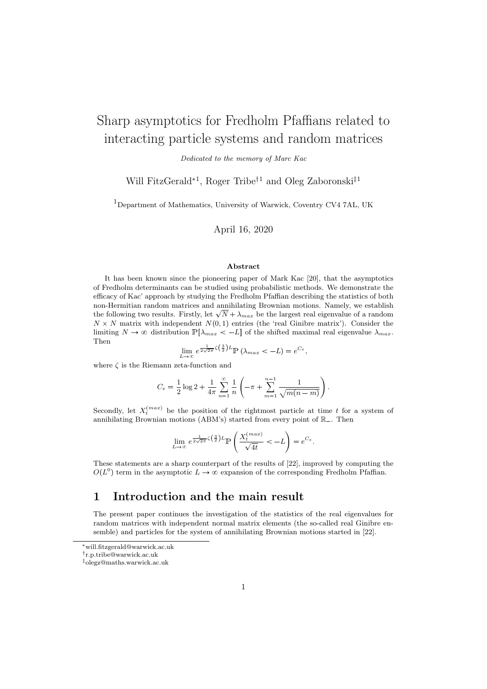## Sharp asymptotics for Fredholm Pfaffians related to interacting particle systems and random matrices

Dedicated to the memory of Marc Kac

Will FitzGerald<sup>∗1</sup>, Roger Tribe<sup>†1</sup> and Oleg Zaboronski<sup>‡1</sup>

<sup>1</sup>Department of Mathematics, University of Warwick, Coventry CV4 7AL, UK

April 16, 2020

#### Abstract

It has been known since the pioneering paper of Mark Kac [20], that the asymptotics of Fredholm determinants can be studied using probabilistic methods. We demonstrate the efficacy of Kac' approach by studying the Fredholm Pfaffian describing the statistics of both non-Hermitian random matrices and annihilating Brownian motions. Namely, we establish the following two results. Firstly, let  $\sqrt{N} + \lambda_{max}$  be the largest real eigenvalue of a random  $N \times N$  matrix with independent  $N(0, 1)$  entries (the 'real Ginibre matrix'). Consider the limiting  $N \to \infty$  distribution  $\mathbb{P}[\lambda_{max} < -L]$  of the shifted maximal real eigenvalue  $\lambda_{max}$ . Then

$$
\lim_{L \to \infty} e^{\frac{1}{2\sqrt{2\pi}}\zeta(\frac{3}{2})L} \mathbb{P}\left(\lambda_{max} < -L\right) = e^{C_e},
$$

where  $\zeta$  is the Riemann zeta-function and

$$
C_e = \frac{1}{2}\log 2 + \frac{1}{4\pi} \sum_{n=1}^{\infty} \frac{1}{n} \left( -\pi + \sum_{m=1}^{n-1} \frac{1}{\sqrt{m(n-m)}} \right).
$$

Secondly, let  $X_t^{(max)}$  be the position of the rightmost particle at time t for a system of annihilating Brownian motions (ABM's) started from every point of  $\mathbb{R}_-$ . Then

$$
\lim_{L \to \infty} e^{\frac{1}{2\sqrt{2\pi}}\zeta(\frac{3}{2})L} \mathbb{P}\left(\frac{X_t^{(max)}}{\sqrt{4t}} < -L\right) = e^{C_e}.
$$

These statements are a sharp counterpart of the results of [22], improved by computing the  $O(L^0)$  term in the asymptotic  $L \to \infty$  expansion of the corresponding Fredholm Pfaffian.

#### 1 Introduction and the main result

The present paper continues the investigation of the statistics of the real eigenvalues for random matrices with independent normal matrix elements (the so-called real Ginibre ensemble) and particles for the system of annihilating Brownian motions started in [22].

<sup>∗</sup>will.fitzgerald@warwick.ac.uk

<sup>†</sup> r.p.tribe@warwick.ac.uk

<sup>‡</sup>olegz@maths.warwick.ac.uk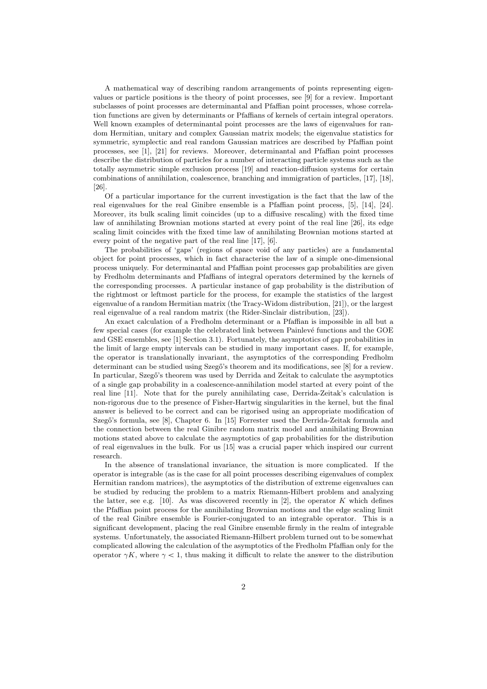A mathematical way of describing random arrangements of points representing eigenvalues or particle positions is the theory of point processes, see [9] for a review. Important subclasses of point processes are determinantal and Pfaffian point processes, whose correlation functions are given by determinants or Pfaffians of kernels of certain integral operators. Well known examples of determinantal point processes are the laws of eigenvalues for random Hermitian, unitary and complex Gaussian matrix models; the eigenvalue statistics for symmetric, symplectic and real random Gaussian matrices are described by Pfaffian point processes, see [1], [21] for reviews. Moreover, determinantal and Pfaffian point processes describe the distribution of particles for a number of interacting particle systems such as the totally asymmetric simple exclusion process [19] and reaction-diffusion systems for certain combinations of annihilation, coalescence, branching and immigration of particles, [17], [18], [26].

Of a particular importance for the current investigation is the fact that the law of the real eigenvalues for the real Ginibre ensemble is a Pfaffian point process, [5], [14], [24]. Moreover, its bulk scaling limit coincides (up to a diffusive rescaling) with the fixed time law of annihilating Brownian motions started at every point of the real line [26], its edge scaling limit coincides with the fixed time law of annihilating Brownian motions started at every point of the negative part of the real line [17], [6].

The probabilities of 'gaps' (regions of space void of any particles) are a fundamental object for point processes, which in fact characterise the law of a simple one-dimensional process uniquely. For determinantal and Pfaffian point processes gap probabilities are given by Fredholm determinants and Pfaffians of integral operators determined by the kernels of the corresponding processes. A particular instance of gap probability is the distribution of the rightmost or leftmost particle for the process, for example the statistics of the largest eigenvalue of a random Hermitian matrix (the Tracy-Widom distribution, [21]), or the largest real eigenvalue of a real random matrix (the Rider-Sinclair distribution, [23]).

An exact calculation of a Fredholm determinant or a Pfaffian is impossible in all but a few special cases (for example the celebrated link between Painlevé functions and the GOE and GSE ensembles, see [1] Section 3.1). Fortunately, the asymptotics of gap probabilities in the limit of large empty intervals can be studied in many important cases. If, for example, the operator is translationally invariant, the asymptotics of the corresponding Fredholm determinant can be studied using Szegő's theorem and its modifications, see [8] for a review. In particular, Szegő's theorem was used by Derrida and Zeitak to calculate the asymptotics of a single gap probability in a coalescence-annihilation model started at every point of the real line [11]. Note that for the purely annihilating case, Derrida-Zeitak's calculation is non-rigorous due to the presence of Fisher-Hartwig singularities in the kernel, but the final answer is believed to be correct and can be rigorised using an appropriate modification of Szegő's formula, see [8], Chapter 6. In [15] Forrester used the Derrida-Zeitak formula and the connection between the real Ginibre random matrix model and annihilating Brownian motions stated above to calculate the asymptotics of gap probabilities for the distribution of real eigenvalues in the bulk. For us [15] was a crucial paper which inspired our current research.

In the absence of translational invariance, the situation is more complicated. If the operator is integrable (as is the case for all point processes describing eigenvalues of complex Hermitian random matrices), the asymptotics of the distribution of extreme eigenvalues can be studied by reducing the problem to a matrix Riemann-Hilbert problem and analyzing the latter, see e.g. [10]. As was discovered recently in [2], the operator  $K$  which defines the Pfaffian point process for the annihilating Brownian motions and the edge scaling limit of the real Ginibre ensemble is Fourier-conjugated to an integrable operator. This is a significant development, placing the real Ginibre ensemble firmly in the realm of integrable systems. Unfortunately, the associated Riemann-Hilbert problem turned out to be somewhat complicated allowing the calculation of the asymptotics of the Fredholm Pfaffian only for the operator  $\gamma K$ , where  $\gamma < 1$ , thus making it difficult to relate the answer to the distribution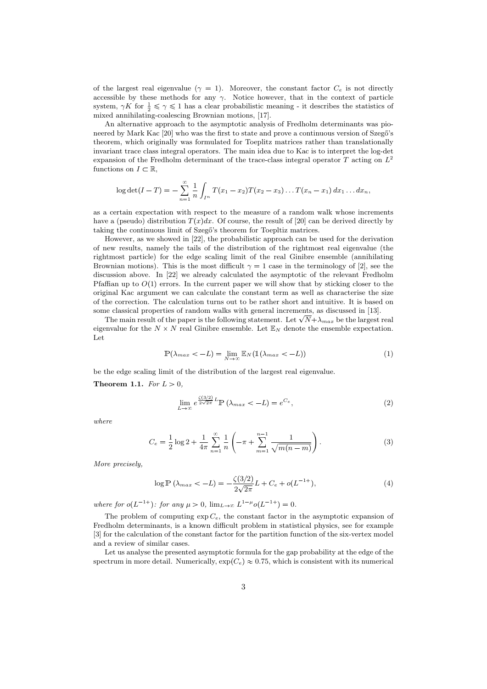of the largest real eigenvalue ( $\gamma = 1$ ). Moreover, the constant factor  $C_e$  is not directly accessible by these methods for any  $\gamma$ . Notice however, that in the context of particle system,  $\gamma K$  for  $\frac{1}{2} \leq \gamma \leq 1$  has a clear probabilistic meaning - it describes the statistics of mixed annihilating-coalescing Brownian motions, [17].

An alternative approach to the asymptotic analysis of Fredholm determinants was pioneered by Mark Kac  $[20]$  who was the first to state and prove a continuous version of Szegő's theorem, which originally was formulated for Toeplitz matrices rather than translationally invariant trace class integral operators. The main idea due to Kac is to interpret the log-det expansion of the Fredholm determinant of the trace-class integral operator T acting on  $L^2$ functions on  $I \subset \mathbb{R}$ ,

$$
\log \det(I-T) = -\sum_{n=1}^{\infty} \frac{1}{n} \int_{I^n} T(x_1 - x_2) T(x_2 - x_3) \dots T(x_n - x_1) dx_1 \dots dx_n,
$$

as a certain expectation with respect to the measure of a random walk whose increments have a (pseudo) distribution  $T(x)dx$ . Of course, the result of [20] can be derived directly by taking the continuous limit of Szegő's theorem for Toepltiz matrices.

However, as we showed in [22], the probabilistic approach can be used for the derivation of new results, namely the tails of the distribution of the rightmost real eigenvalue (the rightmost particle) for the edge scaling limit of the real Ginibre ensemble (annihilating Brownian motions). This is the most difficult  $\gamma = 1$  case in the terminology of [2], see the discussion above. In [22] we already calculated the asymptotic of the relevant Fredholm Pfaffian up to  $O(1)$  errors. In the current paper we will show that by sticking closer to the original Kac argument we can calculate the constant term as well as characterise the size of the correction. The calculation turns out to be rather short and intuitive. It is based on some classical properties of random walks with general increments, as discussed in [13].

The main result of the paper is the following statement. Let  $\sqrt{N} + \lambda_{max}$  be the largest real eigenvalue for the  $N \times N$  real Ginibre ensemble. Let  $\mathbb{E}_N$  denote the ensemble expectation. Let

$$
\mathbb{P}(\lambda_{max} < -L) = \lim_{N \to \infty} \mathbb{E}_N(\mathbb{1}(\lambda_{max} < -L)) \tag{1}
$$

be the edge scaling limit of the distribution of the largest real eigenvalue.

Theorem 1.1. For  $L > 0$ ,

$$
\lim_{L \to \infty} e^{\frac{\zeta(3/2)}{2\sqrt{2\pi}}L} \mathbb{P}\left(\lambda_{max} < -L\right) = e^{C_e},\tag{2}
$$

where

$$
C_e = \frac{1}{2}\log 2 + \frac{1}{4\pi} \sum_{n=1}^{\infty} \frac{1}{n} \left( -\pi + \sum_{m=1}^{n-1} \frac{1}{\sqrt{m(n-m)}} \right).
$$
 (3)

More precisely,

$$
\log \mathbb{P}\left(\lambda_{max} < -L\right) = -\frac{\zeta(3/2)}{2\sqrt{2\pi}}L + C_e + o(L^{-1+}),\tag{4}
$$

where for  $o(L^{-1+})$ : for any  $\mu > 0$ ,  $\lim_{L \to \infty} L^{1-\mu} o(L^{-1+}) = 0$ .

The problem of computing  $\exp C_e$ , the constant factor in the asymptotic expansion of Fredholm determinants, is a known difficult problem in statistical physics, see for example [3] for the calculation of the constant factor for the partition function of the six-vertex model and a review of similar cases.

Let us analyse the presented asymptotic formula for the gap probability at the edge of the spectrum in more detail. Numerically,  $\exp(C_e) \approx 0.75$ , which is consistent with its numerical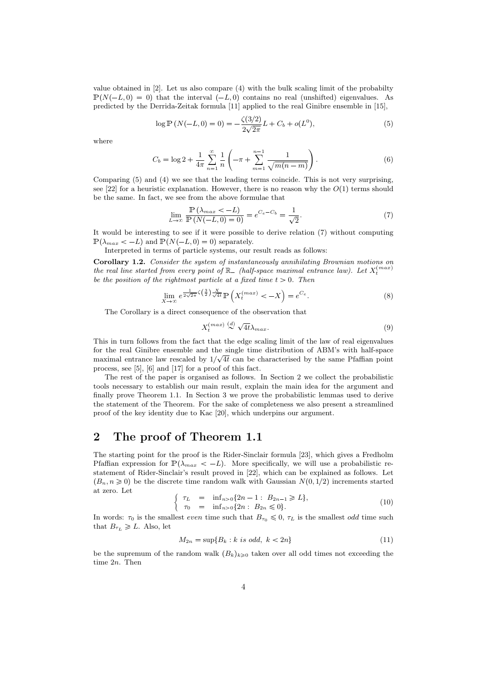value obtained in [2]. Let us also compare (4) with the bulk scaling limit of the probabilty  $\mathbb{P}(N(-L, 0) = 0)$  that the interval  $(-L, 0)$  contains no real (unshifted) eigenvalues. As predicted by the Derrida-Zeitak formula [11] applied to the real Ginibre ensemble in [15],

$$
\log \mathbb{P}\left(N(-L,0)=0\right) = -\frac{\zeta(3/2)}{2\sqrt{2\pi}}L + C_b + o(L^0),\tag{5}
$$

where

$$
C_b = \log 2 + \frac{1}{4\pi} \sum_{n=1}^{\infty} \frac{1}{n} \left( -\pi + \sum_{m=1}^{n-1} \frac{1}{\sqrt{m(n-m)}} \right).
$$
 (6)

Comparing (5) and (4) we see that the leading terms coincide. This is not very surprising, see [22] for a heuristic explanation. However, there is no reason why the  $O(1)$  terms should be the same. In fact, we see from the above formulae that

$$
\lim_{L \to \infty} \frac{\mathbb{P}\left(\lambda_{max} < -L\right)}{\mathbb{P}\left(N(-L, 0) = 0\right)} = e^{C_e - C_b} = \frac{1}{\sqrt{2}}.\tag{7}
$$

It would be interesting to see if it were possible to derive relation (7) without computing  $\mathbb{P}(\lambda_{max} < -L)$  and  $\mathbb{P}(N(-L, 0) = 0)$  separately.

Interpreted in terms of particle systems, our result reads as follows:

Corollary 1.2. Consider the system of instantaneously annihilating Brownian motions on the real line started from every point of  $\mathbb{R}_-$  (half-space maximal entrance law). Let  $X_t^{(max)}$ be the position of the rightmost particle at a fixed time  $t > 0$ . Then

$$
\lim_{X \to \infty} e^{\frac{1}{2\sqrt{2\pi}}\zeta\left(\frac{3}{2}\right)\frac{X}{\sqrt{4t}}} \mathbb{P}\left(X_t^{(max)} < -X\right) = e^{C_e}.\tag{8}
$$

The Corollary is a direct consequence of the observation that

$$
X_t^{(max)} \stackrel{(d)}{\sim} \sqrt{4t} \lambda_{max}.
$$

This in turn follows from the fact that the edge scaling limit of the law of real eigenvalues for the real Ginibre ensemble and the single time distribution of ABM's with half-space maximal entrance law rescaled by  $1/\sqrt{4t}$  can be characterised by the same Pfaffian point process, see [5], [6] and [17] for a proof of this fact.

The rest of the paper is organised as follows. In Section 2 we collect the probabilistic tools necessary to establish our main result, explain the main idea for the argument and finally prove Theorem 1.1. In Section 3 we prove the probabilistic lemmas used to derive the statement of the Theorem. For the sake of completeness we also present a streamlined proof of the key identity due to Kac [20], which underpins our argument.

### 2 The proof of Theorem 1.1

The starting point for the proof is the Rider-Sinclair formula [23], which gives a Fredholm Pfaffian expression for  $\mathbb{P}(\lambda_{max} < -L)$ . More specifically, we will use a probabilistic restatement of Rider-Sinclair's result proved in [22], which can be explained as follows. Let  $(p_n, n \geq 0)$  be the discrete time random walk with Gaussian  $N(0, 1/2)$  increments started at zero. Let

$$
\begin{cases}\n\tau_L = \inf_{n>0} \{2n-1 : B_{2n-1} \ge L\}, \\
\tau_0 = \inf_{n>0} \{2n : B_{2n} \le 0\}.\n\end{cases}
$$
\n(10)

In words:  $\tau_0$  is the smallest *even* time such that  $B_{\tau_0} \leq 0$ ,  $\tau_L$  is the smallest *odd* time such that  $B_{\tau_L} \geq L$ . Also, let

$$
M_{2n} = \sup\{B_k : k \text{ is odd, } k < 2n\} \tag{11}
$$

be the supremum of the random walk  $(B_k)_{k\geq0}$  taken over all odd times not exceeding the time 2n. Then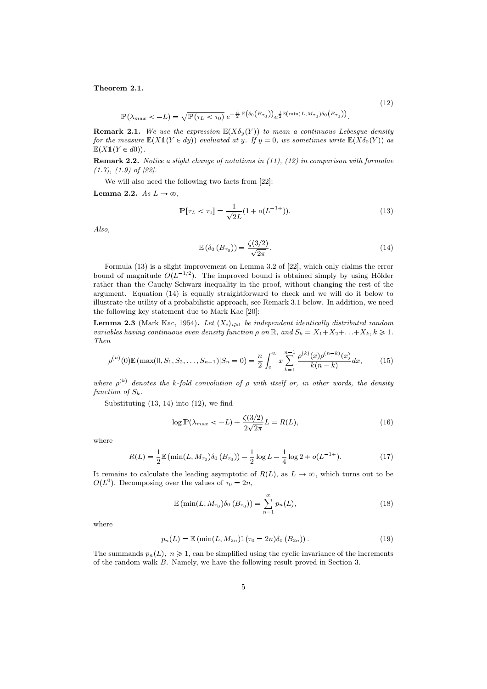Theorem 2.1.

$$
\mathbb{P}(\lambda_{max} < -L) = \sqrt{\mathbb{P}(\tau_L < \tau_0)} \, e^{-\frac{L}{2} \mathbb{E}(\delta_0(B_{\tau_0}))} e^{\frac{1}{2} \mathbb{E}(\min(L, M_{\tau_0}) \delta_0(B_{\tau_0}))}.
$$

**Remark 2.1.** We use the expression  $\mathbb{E}(X\delta_{y}(Y))$  to mean a continuous Lebesgue density for the measure  $\mathbb{E}(X \mathbb{1}(Y \in dy))$  evaluated at y. If  $y = 0$ , we sometimes write  $\mathbb{E}(X \delta_0(Y))$  as  $\mathbb{E}(X1(Y \in d0)).$ 

**Remark 2.2.** Notice a slight change of notations in  $(11)$ ,  $(12)$  in comparison with formulae  $(1.7), (1.9)$  of  $[22].$ 

We will also need the following two facts from [22]:

Lemma 2.2. As  $L \to \infty$ .

$$
\mathbb{P}[\tau_L < \tau_0] = \frac{1}{\sqrt{2}L} (1 + o(L^{-1+})).\tag{13}
$$

Also,

$$
\mathbb{E}\left(\delta_0\left(B_{\tau_0}\right)\right) = \frac{\zeta(3/2)}{\sqrt{2\pi}}.\tag{14}
$$

(12)

Formula (13) is a slight improvement on Lemma 3.2 of [22], which only claims the error bound of magnitude  $O(L^{-1/2})$ . The improved bound is obtained simply by using Hölder rather than the Cauchy-Schwarz inequality in the proof, without changing the rest of the argument. Equation (14) is equally straightforward to check and we will do it below to illustrate the utility of a probabilistic approach, see Remark 3.1 below. In addition, we need the following key statement due to Mark Kac [20]:

**Lemma 2.3** (Mark Kac, 1954). Let  $(X_i)_{i\geq 1}$  be independent identically distributed random variables having continuous even density function  $\rho$  on  $\mathbb{R}$ , and  $S_k = X_1 + X_2 + \ldots + X_k, k \geq 1$ . Then

$$
\rho^{(n)}(0)\mathbb{E}\left(\max(0, S_1, S_2, \dots, S_{n-1})\middle|S_n=0\right) = \frac{n}{2} \int_0^\infty x \sum_{k=1}^{n-1} \frac{\rho^{(k)}(x)\rho^{(n-k)}(x)}{k(n-k)} dx,\tag{15}
$$

where  $\rho^{(k)}$  denotes the k-fold convolution of  $\rho$  with itself or, in other words, the density function of  $S_k$ .

Substituting (13, 14) into (12), we find

$$
\log \mathbb{P}\left(\lambda_{max} < -L\right) + \frac{\zeta(3/2)}{2\sqrt{2\pi}}L = R(L),\tag{16}
$$

where

$$
R(L) = \frac{1}{2} \mathbb{E} \left( \min(L, M_{\tau_0}) \delta_0 \left( B_{\tau_0} \right) \right) - \frac{1}{2} \log L - \frac{1}{4} \log 2 + o(L^{-1+}). \tag{17}
$$

It remains to calculate the leading asymptotic of  $R(L)$ , as  $L \to \infty$ , which turns out to be  $O(L^0)$ . Decomposing over the values of  $\tau_0 = 2n$ ,

$$
\mathbb{E}\left(\min(L, M_{\tau_0})\delta_0\left(B_{\tau_0}\right)\right) = \sum_{n=1}^{\infty} p_n(L),\tag{18}
$$

where

$$
p_n(L) = \mathbb{E} \left( \min(L, M_{2n}) \mathbb{1}(\tau_0 = 2n) \delta_0(B_{2n}) \right). \tag{19}
$$

The summands  $p_n(L)$ ,  $n \ge 1$ , can be simplified using the cyclic invariance of the increments of the random walk B. Namely, we have the following result proved in Section 3.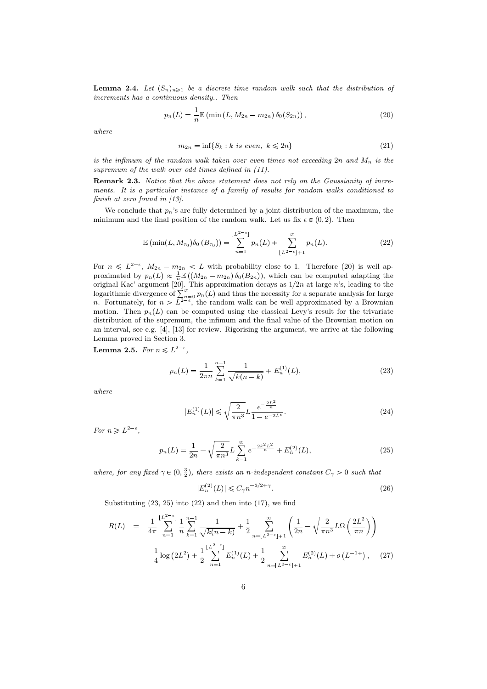**Lemma 2.4.** Let  $(S_n)_{n\geq 1}$  be a discrete time random walk such that the distribution of increments has a continuous density.. Then

$$
p_n(L) = \frac{1}{n} \mathbb{E} \left( \min \left( L, M_{2n} - m_{2n} \right) \delta_0(S_{2n}) \right), \tag{20}
$$

where

$$
m_{2n} = \inf\{S_k : k \text{ is even, } k \le 2n\}
$$
\n<sup>(21)</sup>

is the infimum of the random walk taken over even times not exceeding  $2n$  and  $M_n$  is the supremum of the walk over odd times defined in  $(11)$ .

Remark 2.3. Notice that the above statement does not rely on the Gaussianity of increments. It is a particular instance of a family of results for random walks conditioned to finish at zero found in [13].

We conclude that  $p_n$ 's are fully determined by a joint distribution of the maximum, the minimum and the final position of the random walk. Let us fix  $\epsilon \in (0, 2)$ . Then

$$
\mathbb{E} \left( \min(L, M_{\tau_0}) \delta_0 \left( B_{\tau_0} \right) \right) = \sum_{n=1}^{\lfloor L^{2-\epsilon} \rfloor} p_n(L) + \sum_{\lfloor L^{2-\epsilon} \rfloor + 1}^{\infty} p_n(L). \tag{22}
$$

For  $n \leq L^{2-\epsilon}$ ,  $M_{2n} - m_{2n} \leq L$  with probability close to 1. Therefore (20) is well approximated by  $p_n(L) \approx \frac{1}{n} \mathbb{E}((M_{2n} - m_{2n}) \delta_0(B_{2n}))$ , which can be computed adapting the original Kac' argument [20]. This approximation decays as  $1/2n$  at large n's, leading to the logarithmic divergence of  $\sum_{n=0}^{\infty} p_n(L)$  and thus the necessity for a separate analysis for large n. Fortunately, for  $n > L^{2-\epsilon}$ , the random walk can be well approximated by a Brownian motion. Then  $p_n(L)$  can be computed using the classical Levy's result for the trivariate distribution of the supremum, the infimum and the final value of the Brownian motion on an interval, see e.g. [4], [13] for review. Rigorising the argument, we arrive at the following Lemma proved in Section 3.

**Lemma 2.5.** For  $n \leq L^{2-\epsilon}$ ,

$$
p_n(L) = \frac{1}{2\pi n} \sum_{k=1}^{n-1} \frac{1}{\sqrt{k(n-k)}} + E_n^{(1)}(L),
$$
\n(23)

where

$$
|E_n^{(1)}(L)| \le \sqrt{\frac{2}{\pi n^3}} L \frac{e^{-\frac{2L^2}{n}}}{1 - e^{-2L^{\epsilon}}}.
$$
\n(24)

For  $n \geq L^{2-\epsilon}$ ,

$$
p_n(L) = \frac{1}{2n} - \sqrt{\frac{2}{\pi n^3}} L \sum_{k=1}^{\infty} e^{-\frac{2k^2 L^2}{n}} + E_n^{(2)}(L),
$$
 (25)

where, for any fixed  $\gamma \in (0, \frac{3}{2})$ , there exists an n-independent constant  $C_{\gamma} > 0$  such that

$$
|E_n^{(2)}(L)| \le C_\gamma n^{-3/2 + \gamma}.
$$
 (26)

Substituting  $(23, 25)$  into  $(22)$  and then into  $(17)$ , we find

$$
R(L) = \frac{1}{4\pi} \sum_{n=1}^{\lfloor L^{2-\epsilon} \rfloor} \frac{1}{n} \sum_{k=1}^{n-1} \frac{1}{\sqrt{k(n-k)}} + \frac{1}{2} \sum_{n=\lfloor L^{2-\epsilon} \rfloor+1}^{\infty} \left( \frac{1}{2n} - \sqrt{\frac{2}{\pi n^3}} L\Omega \left( \frac{2L^2}{\pi n} \right) \right)
$$

$$
-\frac{1}{4} \log \left( 2L^2 \right) + \frac{1}{2} \sum_{n=1}^{\lfloor L^{2-\epsilon} \rfloor} E_n^{(1)}(L) + \frac{1}{2} \sum_{n=\lfloor L^{2-\epsilon} \rfloor+1}^{\infty} E_n^{(2)}(L) + o\left( L^{-1+} \right), \quad (27)
$$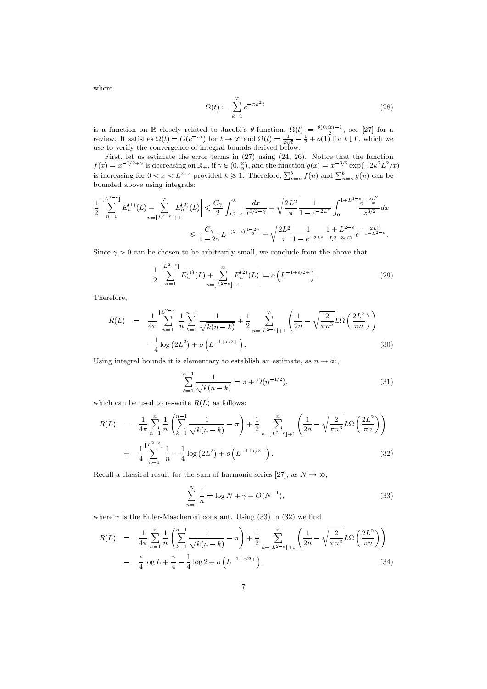where

$$
\Omega(t) := \sum_{k=1}^{\infty} e^{-\pi k^2 t} \tag{28}
$$

is a function on R closely related to Jacobi's  $\theta$ -function,  $\Omega(t) = \frac{\theta(0,i t)-1}{2}$ , see [27] for a review. It satisfies  $\Omega(t) = O(e^{-\pi t})$  for  $t \to \infty$  and  $\Omega(t) = \frac{1}{2\sqrt{t}} - \frac{1}{2} + o(1)$  for  $t \downarrow 0$ , which we use to verify the convergence of integral bounds derived below.

First, let us estimate the error terms in (27) using (24, 26). Notice that the function  $f(x) = x^{-3/2 + \gamma}$  is decreasing on  $\mathbb{R}_+$ , if  $\gamma \in (0, \frac{3}{2})$ , and the function  $g(x) = x^{-3/2} \exp(-2k^2 L^2/x)$ is increasing for  $0 < x < L^{2-\epsilon}$  provided  $k \ge 1$ . Therefore,  $\sum_{n=a}^{b} f(n)$  and  $\sum_{n=a}^{b} g(n)$  can be bounded above using integrals:

$$
\frac{1}{2} \left| \sum_{n=1}^{\lfloor L^{2-\epsilon} \rfloor} E_n^{(1)}(L) + \sum_{n=\lfloor L^{2-\epsilon} \rfloor+1}^{\infty} E_n^{(2)}(L) \right| \leq \frac{C_{\gamma}}{2} \int_{L^{2-\epsilon}}^{\infty} \frac{dx}{x^{3/2-\gamma}} + \sqrt{\frac{2L^2}{\pi}} \frac{1}{1 - e^{-2L^{\epsilon}}} \int_0^{1+L^{2-\epsilon} \frac{e^{-\frac{L^2}{x}}}{x^{3/2}} dx
$$
  

$$
\leq \frac{C_{\gamma}}{1 - 2\gamma} L^{-(2-\epsilon) \frac{1-2\gamma}{2}} + \sqrt{\frac{2L^2}{\pi}} \frac{1}{1 - e^{-2L^{\epsilon}}} \frac{1+L^{2-\epsilon}}{L^{3-3\epsilon/2}} e^{-\frac{2L^2}{1+L^{2-\epsilon}}}.
$$

Since  $\gamma > 0$  can be chosen to be arbitrarily small, we conclude from the above that

$$
\frac{1}{2} \left| \sum_{n=1}^{\lfloor L^{2-\epsilon} \rfloor} E_n^{(1)}(L) + \sum_{n=\lfloor L^{2-\epsilon} \rfloor+1}^{\infty} E_n^{(2)}(L) \right| = o\left( L^{-1+\epsilon/2+} \right). \tag{29}
$$

Therefore,

$$
R(L) = \frac{1}{4\pi} \sum_{n=1}^{\lfloor L^{2-\epsilon} \rfloor} \frac{1}{n} \sum_{k=1}^{n-1} \frac{1}{\sqrt{k(n-k)}} + \frac{1}{2} \sum_{n=\lfloor L^{2-\epsilon} \rfloor+1}^{\infty} \left( \frac{1}{2n} - \sqrt{\frac{2}{\pi n^3}} L\Omega\left(\frac{2L^2}{\pi n}\right) \right)
$$

$$
-\frac{1}{4} \log\left(2L^2\right) + o\left(L^{-1+\epsilon/2+}\right).
$$
(30)

Using integral bounds it is elementary to establish an estimate, as  $n \to \infty$ ,

$$
\sum_{k=1}^{n-1} \frac{1}{\sqrt{k(n-k)}} = \pi + O(n^{-1/2}),\tag{31}
$$

which can be used to re-write  $R(L)$  as follows:

$$
R(L) = \frac{1}{4\pi} \sum_{n=1}^{\infty} \frac{1}{n} \left( \sum_{k=1}^{n-1} \frac{1}{\sqrt{k(n-k)}} - \pi \right) + \frac{1}{2} \sum_{n=\lfloor L^{2-\epsilon} \rfloor+1}^{\infty} \left( \frac{1}{2n} - \sqrt{\frac{2}{\pi n^3}} L\Omega \left( \frac{2L^2}{\pi n} \right) \right) + \frac{1}{4} \sum_{n=1}^{\lfloor L^{2-\epsilon} \rfloor} \frac{1}{n} - \frac{1}{4} \log \left( 2L^2 \right) + o\left( L^{-1+\epsilon/2+} \right). \tag{32}
$$

Recall a classical result for the sum of harmonic series [27], as  $N \to \infty$ ,

$$
\sum_{n=1}^{N} \frac{1}{n} = \log N + \gamma + O(N^{-1}),\tag{33}
$$

where  $\gamma$  is the Euler-Mascheroni constant. Using (33) in (32) we find

$$
R(L) = \frac{1}{4\pi} \sum_{n=1}^{\infty} \frac{1}{n} \left( \sum_{k=1}^{n-1} \frac{1}{\sqrt{k(n-k)}} - \pi \right) + \frac{1}{2} \sum_{n=\lfloor L^{2-\epsilon} \rfloor+1}^{\infty} \left( \frac{1}{2n} - \sqrt{\frac{2}{\pi n^3}} L\Omega \left( \frac{2L^2}{\pi n} \right) \right)
$$
  
-  $\frac{\epsilon}{4} \log L + \frac{\gamma}{4} - \frac{1}{4} \log 2 + o\left( L^{-1+\epsilon/2+} \right).$  (34)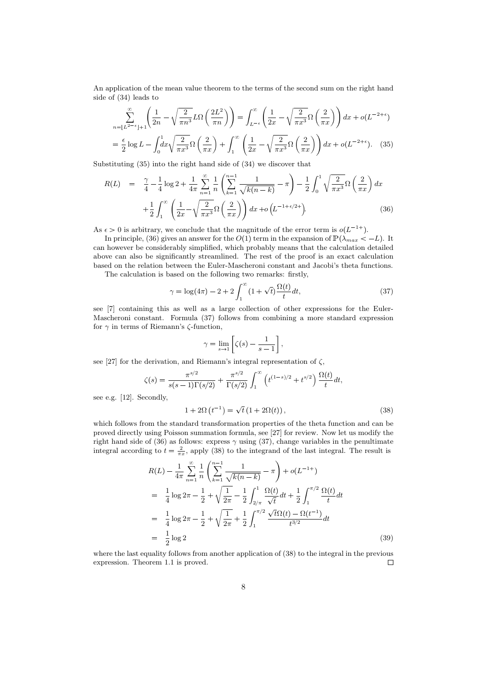An application of the mean value theorem to the terms of the second sum on the right hand side of (34) leads to

$$
\sum_{n=\lfloor L^{2-\epsilon} \rfloor+1}^{\infty} \left( \frac{1}{2n} - \sqrt{\frac{2}{\pi n^3}} L\Omega\left(\frac{2L^2}{\pi n}\right) \right) = \int_{L^{-\epsilon}}^{\infty} \left( \frac{1}{2x} - \sqrt{\frac{2}{\pi x^3}} \Omega\left(\frac{2}{\pi x}\right) \right) dx + o(L^{-2+\epsilon})
$$

$$
= \frac{\epsilon}{2} \log L - \int dx \sqrt{\frac{2}{-\epsilon}} \Omega\left(\frac{2}{\epsilon}\right) + \int_{-\infty}^{\infty} \left( \frac{1}{\epsilon} - \sqrt{\frac{2}{-\epsilon}} \Omega\left(\frac{2}{\epsilon}\right) \right) dx + o(L^{-2+\epsilon}). \quad (35)
$$

$$
= \frac{\epsilon}{2} \log L - \int_0^1 dx \sqrt{\frac{2}{\pi x^3}} \Omega\left(\frac{2}{\pi x}\right) + \int_1^\infty \left(\frac{1}{2x} - \sqrt{\frac{2}{\pi x^3}} \Omega\left(\frac{2}{\pi x}\right)\right) dx + o(L^{-2+\epsilon}). \tag{35}
$$

Substituting (35) into the right hand side of (34) we discover that

$$
R(L) = \frac{\gamma}{4} - \frac{1}{4} \log 2 + \frac{1}{4\pi} \sum_{n=1}^{\infty} \frac{1}{n} \left( \sum_{k=1}^{n-1} \frac{1}{\sqrt{k(n-k)}} - \pi \right) - \frac{1}{2} \int_0^1 \sqrt{\frac{2}{\pi x^3}} \Omega \left( \frac{2}{\pi x} \right) dx
$$

$$
+ \frac{1}{2} \int_1^{\infty} \left( \frac{1}{2x} - \sqrt{\frac{2}{\pi x^3}} \Omega \left( \frac{2}{\pi x} \right) \right) dx + o\left( L^{-1 + \epsilon/2 +} \right).
$$
(36)

As  $\epsilon > 0$  is arbitrary, we conclude that the magnitude of the error term is  $o(L^{-1+})$ .

In principle, (36) gives an answer for the  $O(1)$  term in the expansion of  $\mathbb{P}(\lambda_{max} < -L)$ . It can however be considerably simplified, which probably means that the calculation detailed above can also be significantly streamlined. The rest of the proof is an exact calculation based on the relation between the Euler-Mascheroni constant and Jacobi's theta functions. The calculation is based on the following two remarks: firstly,

$$
\gamma = \log(4\pi) - 2 + 2\int_{1}^{\infty} (1 + \sqrt{t}) \frac{\Omega(t)}{t} dt,
$$
\n(37)

see [7] containing this as well as a large collection of other expressions for the Euler-Mascheroni constant. Formula (37) follows from combining a more standard expression for  $\gamma$  in terms of Riemann's  $\zeta$ -function,

$$
\gamma = \lim_{s \to 1} \left[ \zeta(s) - \frac{1}{s - 1} \right],
$$

see [27] for the derivation, and Riemann's integral representation of  $\zeta$ ,

$$
\zeta(s) = \frac{\pi^{s/2}}{s(s-1)\Gamma(s/2)} + \frac{\pi^{s/2}}{\Gamma(s/2)} \int_1^{\infty} \left( t^{(1-s)/2} + t^{s/2} \right) \frac{\Omega(t)}{t} dt,
$$

see e.g. [12]. Secondly,

$$
1 + 2\Omega \left(t^{-1}\right) = \sqrt{t} \left(1 + 2\Omega(t)\right),\tag{38}
$$

which follows from the standard transformation properties of the theta function and can be proved directly using Poisson summation formula, see [27] for review. Now let us modify the right hand side of (36) as follows: express  $\gamma$  using (37), change variables in the penultimate integral according to  $t = \frac{2}{\pi x}$ , apply (38) to the integrand of the last integral. The result is

$$
R(L) - \frac{1}{4\pi} \sum_{n=1}^{\infty} \frac{1}{n} \left( \sum_{k=1}^{n-1} \frac{1}{\sqrt{k(n-k)}} - \pi \right) + o(L^{-1+})
$$
  
=  $\frac{1}{4} \log 2\pi - \frac{1}{2} + \sqrt{\frac{1}{2\pi}} - \frac{1}{2} \int_{2/\pi}^{1} \frac{\Omega(t)}{\sqrt{t}} dt + \frac{1}{2} \int_{1}^{\pi/2} \frac{\Omega(t)}{t} dt$   
=  $\frac{1}{4} \log 2\pi - \frac{1}{2} + \sqrt{\frac{1}{2\pi}} + \frac{1}{2} \int_{1}^{\pi/2} \frac{\sqrt{t} \Omega(t) - \Omega(t^{-1})}{t^{3/2}} dt$   
=  $\frac{1}{2} \log 2$  (39)

where the last equality follows from another application of (38) to the integral in the previous expression. Theorem 1.1 is proved.  $\Box$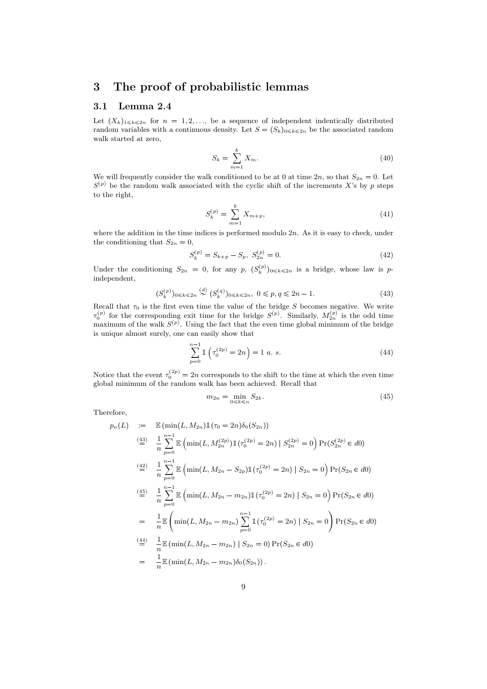### 3 The proof of probabilistic lemmas

#### 3.1 Lemma 2.4

Let  $(X_k)_{1\leq k\leq 2n}$  for  $n = 1, 2, \ldots$ , be a sequence of independent indentically distributed random variables with a continuous density. Let  $S = (S_k)_{0 \leq k \leq 2n}$  be the associated random walk started at zero,

$$
S_k = \sum_{m=1}^k X_m. \tag{40}
$$

We will frequently consider the walk conditioned to be at 0 at time  $2n$ , so that  $S_{2n} = 0$ . Let  $S^{(p)}$  be the random walk associated with the cyclic shift of the increments X's by p steps to the right,

$$
S_k^{(p)} = \sum_{m=1}^k X_{m+p},\tag{41}
$$

where the addition in the time indices is performed modulo  $2n$ . As it is easy to check, under the conditioning that  $S_{2n} = 0$ ,

$$
S_k^{(p)} = S_{k+p} - S_p, \ S_{2n}^{(p)} = 0.
$$
\n
$$
(42)
$$

Under the conditioning  $S_{2n} = 0$ , for any p,  $(S_k^{(p)})_{0 \leq k \leq 2n}$  is a bridge, whose law is pindependent,

$$
(S_k^{(p)})_{0 \le k \le 2n} \stackrel{(d)}{\sim} (S_k^{(q)})_{0 \le k \le 2n}, \ 0 \le p, q \le 2n - 1. \tag{43}
$$

Recall that  $\tau_0$  is the first even time the value of the bridge S becomes negative. We write  $\tau_0^{(p)}$  for the corresponding exit time for the bridge  $S^{(p)}$ . Similarly,  $M_{2n}^{(p)}$  is the odd time maximum of the walk  $S^{(p)}$ . Using the fact that the even time global minimum of the bridge is unique almost surely, one can easily show that

$$
\sum_{p=0}^{n-1} \mathbb{1}\left(\tau_0^{(2p)} = 2n\right) = 1 \ a. \ s.
$$
 (44)

Notice that the event  $\tau_0^{(2p)} = 2n$  corresponds to the shift to the time at which the even time global minimum of the random walk has been achieved. Recall that

$$
m_{2n} = \min_{0 \le k \le n} S_{2k}.\tag{45}
$$

Therefore,

$$
p_n(L) := \mathbb{E} (\min(L, M_{2n}) \mathbb{1}(\tau_0 = 2n) \delta_0(S_{2n}))
$$
  
\n
$$
\stackrel{(43)}{=} \frac{1}{n} \sum_{p=0}^{n-1} \mathbb{E} (\min(L, M_{2n}^{(2p)}) \mathbb{1}(\tau_0^{(2p)} = 2n) | S_{2n}^{(2p)} = 0) \Pr(S_{2n}^{(2p)} \in d0)
$$
  
\n
$$
\stackrel{(42)}{=} \frac{1}{n} \sum_{p=0}^{n-1} \mathbb{E} (\min(L, M_{2n} - S_{2p}) \mathbb{1}(\tau_0^{(2p)} = 2n) | S_{2n} = 0) \Pr(S_{2n} \in d0)
$$
  
\n
$$
\stackrel{(45)}{=} \frac{1}{n} \sum_{p=0}^{n-1} \mathbb{E} (\min(L, M_{2n} - m_{2n}) \mathbb{1}(\tau_0^{(2p)} = 2n) | S_{2n} = 0) \Pr(S_{2n} \in d0)
$$
  
\n
$$
= \frac{1}{n} \mathbb{E} (\min(L, M_{2n} - m_{2n}) \sum_{p=0}^{n-1} \mathbb{1}(\tau_0^{(2p)} = 2n) | S_{2n} = 0) \Pr(S_{2n} \in d0)
$$
  
\n
$$
\stackrel{(44)}{=} \frac{1}{n} \mathbb{E} (\min(L, M_{2n} - m_{2n}) | S_{2n} = 0) \Pr(S_{2n} \in d0)
$$
  
\n
$$
= \frac{1}{n} \mathbb{E} (\min(L, M_{2n} - m_{2n}) \delta_0(S_{2n})).
$$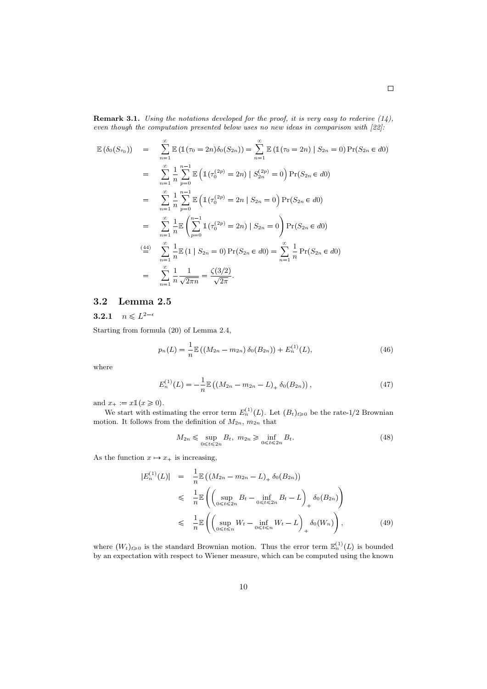**Remark 3.1.** Using the notations developed for the proof, it is very easy to rederive  $(14)$ , even though the computation presented below uses no new ideas in comparison with [22]:

$$
\mathbb{E}(\delta_0(S_{\tau_0})) = \sum_{n=1}^{\infty} \mathbb{E}(\mathbb{1}(\tau_0 = 2n)\delta_0(S_{2n})) = \sum_{n=1}^{\infty} \mathbb{E}(\mathbb{1}(\tau_0 = 2n) | S_{2n} = 0) \Pr(S_{2n} \in d0)
$$
  
\n
$$
= \sum_{n=1}^{\infty} \frac{1}{n} \sum_{p=0}^{n-1} \mathbb{E}(\mathbb{1}(\tau_0^{(2p)} = 2n) | S_{2n}^{(2p)} = 0) \Pr(S_{2n} \in d0)
$$
  
\n
$$
= \sum_{n=1}^{\infty} \frac{1}{n} \sum_{p=0}^{n-1} \mathbb{E}(\mathbb{1}(\tau_0^{(2p)} = 2n | S_{2n} = 0) \Pr(S_{2n} \in d0)
$$
  
\n
$$
= \sum_{n=1}^{\infty} \frac{1}{n} \mathbb{E}(\sum_{p=0}^{n-1} \mathbb{1}(\tau_0^{(2p)} = 2n) | S_{2n} = 0) \Pr(S_{2n} \in d0)
$$
  
\n
$$
\stackrel{(44)}{=} \sum_{n=1}^{\infty} \frac{1}{n} \mathbb{E}(\mathbb{1} | S_{2n} = 0) \Pr(S_{2n} \in d0) = \sum_{n=1}^{\infty} \frac{1}{n} \Pr(S_{2n} \in d0)
$$
  
\n
$$
= \sum_{n=1}^{\infty} \frac{1}{n} \frac{1}{\sqrt{2\pi n}} = \frac{\zeta(3/2)}{\sqrt{2\pi}}.
$$

## 3.2 Lemma 2.5  $\mathbf{n}\mathbf{a}$ <br>2- $\epsilon$

**3.2.1**  $n \leq L^{2-\epsilon}$ 

Starting from formula (20) of Lemma 2.4,

$$
p_n(L) = \frac{1}{n} \mathbb{E} \left( \left( M_{2n} - m_{2n} \right) \delta_0(B_{2n}) \right) + E_n^{(1)}(L), \tag{46}
$$

where

$$
E_n^{(1)}(L) = -\frac{1}{n} \mathbb{E} \left( \left( M_{2n} - m_{2n} - L \right)_+ \delta_0(B_{2n}) \right), \tag{47}
$$

and  $x_+ := x \mathbb{1}(x \geq 0)$ .

We start with estimating the error term  $E_n^{(1)}(L)$ . Let  $(B_t)_{t\geq 0}$  be the rate-1/2 Brownian motion. It follows from the definition of  $M_{2n}$ ,  $m_{2n}$  that

$$
M_{2n} \leq \sup_{0 \leq t \leq 2n} B_t, \ m_{2n} \geq \inf_{0 \leq t \leq 2n} B_t.
$$
 (48)

As the function  $x \mapsto x_+$  is increasing,

$$
|E_n^{(1)}(L)| = \frac{1}{n} \mathbb{E} \left( (M_{2n} - m_{2n} - L)_+ \delta_0(B_{2n}) \right)
$$
  
\$\leq \frac{1}{n} \mathbb{E} \left( \left( \sup\_{0 \leq t \leq 2n} B\_t - \inf\_{0 \leq t \leq 2n} B\_t - L \right)\_+ \delta\_0(B\_{2n}) \right)\$  
\$\leq \frac{1}{n} \mathbb{E} \left( \left( \sup\_{0 \leq t \leq n} W\_t - \inf\_{0 \leq t \leq n} W\_t - L \right)\_+ \delta\_0(W\_n) \right), \qquad (49)\$

where  $(W_t)_{t\geqslant0}$  is the standard Brownian motion. Thus the error term  $\mathbb{E}_n^{(1)}(L)$  is bounded by an expectation with respect to Wiener measure, which can be computed using the known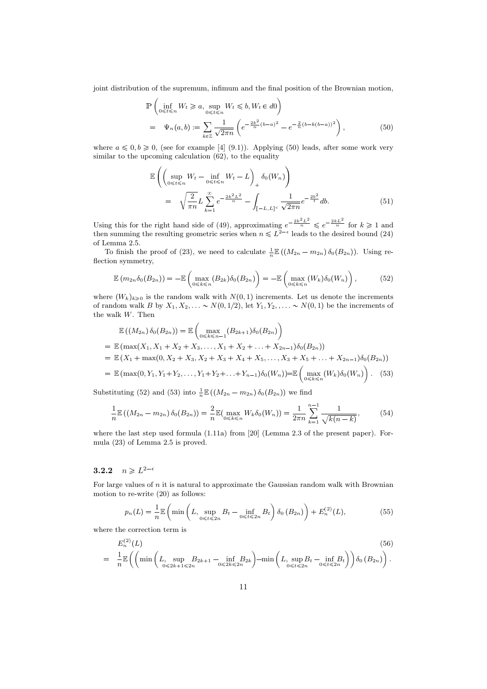joint distribution of the supremum, infimum and the final position of the Brownian motion,

$$
\mathbb{P}\left(\inf_{0 \leq t \leq n} W_t \geq a, \sup_{0 \leq t \leq n} W_t \leq b, W_t \in d0\right) \n= \Psi_n(a, b) := \sum_{k \in \mathbb{Z}} \frac{1}{\sqrt{2\pi n}} \left(e^{-\frac{2k^2}{n}(b-a)^2} - e^{-\frac{2}{n}(b-k(b-a))^2}\right),
$$
\n(50)

where  $a \leq 0, b \geq 0$ , (see for example [4] (9.1)). Applying (50) leads, after some work very similar to the upcoming calculation  $(62)$ , to the equality

$$
\mathbb{E}\left(\left(\sup_{0\leq t\leq n}W_t - \inf_{0\leq t\leq n}W_t - L\right)_+ \delta_0(W_n)\right) \n= \sqrt{\frac{2}{\pi n}}L\sum_{k=1}^{\infty}e^{-\frac{2k^2L^2}{n}} - \int_{[-L,L]^c}\frac{1}{\sqrt{2\pi n}}e^{-\frac{2b^2}{t}}db.
$$
\n(51)

Using this for the right hand side of (49), approximating  $e^{-\frac{2k^2L^2}{n}} \leq e^{-\frac{2kL^2}{n}}$  for  $k \geq 1$  and then summing the resulting geometric series when  $n \leq L^{2-\epsilon}$  leads to the desired bound (24) of Lemma 2.5.

To finish the proof of (23), we need to calculate  $\frac{1}{n}\mathbb{E}((M_{2n}-m_{2n})\delta_0(B_{2n}))$ . Using reflection symmetry,

$$
\mathbb{E}\left(m_{2n}\delta_0(B_{2n})\right) = -\mathbb{E}\left(\max_{0\leq k\leq n}\left(B_{2k}\right)\delta_0(B_{2n})\right) = -\mathbb{E}\left(\max_{0\leq k\leq n}\left(W_k\right)\delta_0(W_n)\right),\tag{52}
$$

where  $(W_k)_{k\geqslant0}$  is the random walk with  $N(0, 1)$  increments. Let us denote the increments of random walk B by  $X_1, X_2, \ldots \sim N(0, 1/2)$ , let  $Y_1, Y_2, \ldots \sim N(0, 1)$  be the increments of the walk W. Then

$$
\mathbb{E}((M_{2n}) \delta_0(B_{2n})) = \mathbb{E}\left(\max_{0 \le k \le n-1} (B_{2k+1})\delta_0(B_{2n})\right)
$$
  
\n
$$
= \mathbb{E}\left(\max(X_1, X_1 + X_2 + X_3, \dots, X_1 + X_2 + \dots + X_{2n-1})\delta_0(B_{2n})\right)
$$
  
\n
$$
= \mathbb{E}\left(X_1 + \max(0, X_2 + X_3, X_2 + X_3 + X_4 + X_5, \dots, X_3 + X_5 + \dots + X_{2n-1})\delta_0(B_{2n})\right)
$$
  
\n
$$
= \mathbb{E}\left(\max(0, Y_1, Y_1 + Y_2, \dots, Y_1 + Y_2 + \dots + Y_{n-1})\delta_0(W_n)\right) = \mathbb{E}\left(\max_{0 \le k \le n} (W_k)\delta_0(W_n)\right). (53)
$$

Substituting (52) and (53) into  $\frac{1}{n}\mathbb{E}((M_{2n}-m_{2n})\,\delta_0(B_{2n}))$  we find

$$
\frac{1}{n}\mathbb{E}\left(\left(M_{2n}-m_{2n}\right)\delta_0(B_{2n})\right) = \frac{2}{n}\mathbb{E}\left(\max_{0\leq k\leq n}W_k\delta_0(W_n)\right) = \frac{1}{2\pi n}\sum_{k=1}^{n-1}\frac{1}{\sqrt{k(n-k)}},\tag{54}
$$

where the last step used formula (1.11a) from [20] (Lemma 2.3 of the present paper). Formula (23) of Lemma 2.5 is proved.

# mula (23) of Lemn $\mathbf{3.2.2} \quad n \geqslant L^{2-\epsilon}$

For large values of  $n$  it is natural to approximate the Gaussian random walk with Brownian motion to re-write (20) as follows:

$$
p_n(L) = \frac{1}{n} \mathbb{E} \left( \min \left( L, \sup_{0 \le t \le 2n} B_t - \inf_{0 \le t \le 2n} B_t \right) \delta_0 \left( B_{2n} \right) \right) + E_n^{(2)}(L), \tag{55}
$$

where the correction term is

$$
E_n^{(2)}(L)
$$
\n
$$
= \frac{1}{n} \mathbb{E}\left( \left( \min\left( L, \sup_{0 \le 2k+1 \le 2n} B_{2k+1} - \inf_{0 \le 2k \le 2n} B_{2k} \right) - \min\left( L, \sup_{0 \le t \le 2n} B_t - \inf_{0 \le t \le 2n} B_t \right) \right) \delta_0(B_{2n}) \right).
$$
\n(56)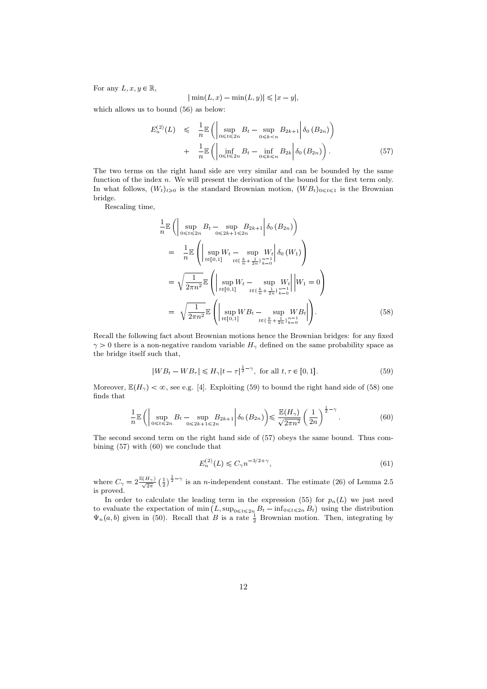For any  $L, x, y \in \mathbb{R}$ ,

$$
|\min(L, x) - \min(L, y)| \leq |x - y|,
$$

which allows us to bound (56) as below:

$$
E_n^{(2)}(L) \leq \frac{1}{n} \mathbb{E} \left( \sup_{0 \leq t \leq 2n} B_t - \sup_{0 \leq k < n} B_{2k+1} \middle| \delta_0 \left( B_{2n} \right) \right) + \frac{1}{n} \mathbb{E} \left( \inf_{0 \leq t \leq 2n} B_t - \inf_{0 \leq k \leq n} B_{2k} \middle| \delta_0 \left( B_{2n} \right) \right). \tag{57}
$$

The two terms on the right hand side are very similar and can be bounded by the same function of the index n. We will present the derivation of the bound for the first term only. In what follows,  $(W_t)_{t\geqslant0}$  is the standard Brownian motion,  $(W B_t)_{0\leqslant t\leqslant1}$  is the Brownian bridge.

Rescaling time,

$$
\frac{1}{n} \mathbb{E} \left( \left| \sup_{0 \le t \le 2n} B_t - \sup_{0 \le 2k+1 \le 2n} B_{2k+1} \right| \delta_0 (B_{2n}) \right)
$$
\n
$$
= \frac{1}{n} \mathbb{E} \left( \left| \sup_{t \in [0,1]} W_t - \sup_{t \in \{\frac{k}{n} + \frac{1}{2n}\}_{k=0}^{n-1}} W_t \right| \delta_0 (W_1) \right)
$$
\n
$$
= \sqrt{\frac{1}{2\pi n^2}} \mathbb{E} \left( \left| \sup_{t \in [0,1]} W_t - \sup_{t \in \{\frac{k}{n} + \frac{1}{2n}\}_{k=0}^{n-1}} W_t \right| \middle| W_1 = 0 \right)
$$
\n
$$
= \sqrt{\frac{1}{2\pi n^2}} \mathbb{E} \left( \left| \sup_{t \in [0,1]} W B_t - \sup_{t \in \{\frac{k}{n} + \frac{1}{2n}\}_{k=0}^{n-1}} W B_t \right| \right).
$$
\n(58)

Recall the following fact about Brownian motions hence the Brownian bridges: for any fixed  $\gamma > 0$  there is a non-negative random variable  $H_{\gamma}$  defined on the same probability space as the bridge itself such that,

$$
|WB_t - WB_\tau| \le H_\gamma |t - \tau|^{\frac{1}{2} - \gamma}, \text{ for all } t, \tau \in [0, 1].
$$
 (59)

Moreover,  $\mathbb{E}(H_{\gamma}) < \infty$ , see e.g. [4]. Exploiting (59) to bound the right hand side of (58) one finds that

$$
\frac{1}{n}\mathbb{E}\left(\left|\sup_{0\leqslant t\leqslant 2n}B_t-\sup_{0\leqslant 2k+1\leqslant 2n}B_{2k+1}\right|\delta_0\left(B_{2n}\right)\right)\leqslant \frac{\mathbb{E}(H_{\gamma})}{\sqrt{2\pi n^2}}\left(\frac{1}{2n}\right)^{\frac{1}{2}-\gamma}.\tag{60}
$$

The second second term on the right hand side of (57) obeys the same bound. Thus combining (57) with (60) we conclude that

$$
E_n^{(2)}(L) \le C_\gamma n^{-3/2 + \gamma},\tag{61}
$$

where  $C_{\gamma} = 2 \frac{\mathbb{E}(H_{\gamma})}{\sqrt{2\pi}} \left(\frac{1}{2}\right)^{\frac{1}{2}-\gamma}$  is an *n*-independent constant. The estimate (26) of Lemma 2.5 is proved.

In order to calculate the leading term in the expression (55) for  $p_n(L)$  we just need to evaluate the expectation of min  $(L, \sup_{0 \leq t \leq 2n} B_t - \inf_{0 \leq t \leq 2n} B_t)$  using the distribution  $\Psi_n(a, b)$  given in (50). Recall that B is a rate  $\frac{1}{2}$  Brownian motion. Then, integrating by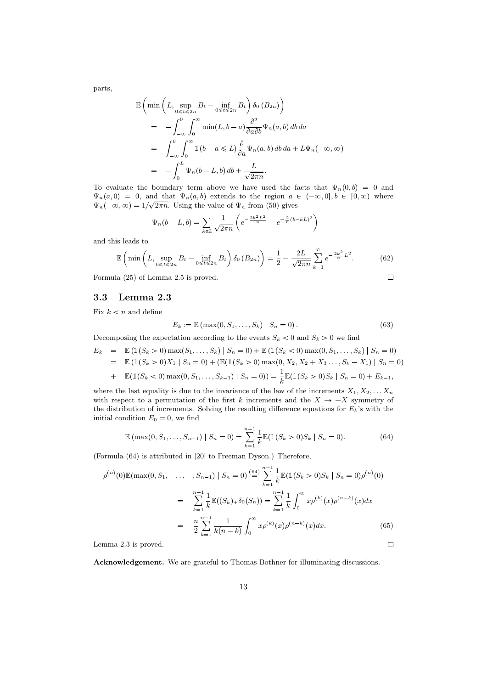parts,

$$
\mathbb{E}\left(\min\left(L,\sup_{0\leqslant t\leqslant 2n}B_t-\inf_{0\leqslant t\leqslant 2n}B_t\right)\delta_0(B_{2n})\right)
$$
\n
$$
=\int_{-\infty}^0\int_0^\infty\min(L,b-a)\frac{\partial^2}{\partial a\partial b}\Psi_n(a,b)\,db\,da
$$
\n
$$
=\int_{-\infty}^0\int_0^\infty\mathbb{1}(b-a\leqslant L)\frac{\partial}{\partial a}\Psi_n(a,b)\,db\,da+L\Psi_n(-\infty,\infty)
$$
\n
$$
=-\int_0^L\Psi_n(b-L,b)\,db+\frac{L}{\sqrt{2\pi n}}.
$$

To evaluate the boundary term above we have used the facts that  $\Psi_n(0, b) = 0$  and  $\Psi_n(a, 0) = 0$ , and that  $\Psi_n(a, b)$  extends to the region  $a \in (-\infty, 0], b \in [0, \infty)$  where  $\Psi_n(-\infty, \infty) = 1/\sqrt{2\pi n}$ . Using the value of  $\Psi_n$  from (50) gives

$$
\Psi_n(b - L, b) = \sum_{k \in \mathbb{Z}} \frac{1}{\sqrt{2\pi n}} \left( e^{-\frac{2k^2 L^2}{n}} - e^{-\frac{2}{n}(b - kL)^2} \right)
$$

and this leads to

$$
\mathbb{E}\left(\min\left(L,\sup_{0\leqslant t\leqslant 2n}B_t-\inf_{0\leqslant t\leqslant 2n}B_t\right)\delta_0\left(B_{2n}\right)\right)=\frac{1}{2}-\frac{2L}{\sqrt{2\pi n}}\sum_{k=1}^{\infty}e^{-\frac{2k^2}{n}L^2}.\tag{62}
$$

Formula (25) of Lemma 2.5 is proved.

3.3 Lemma 2.3

Fix  $k < n$  and define

$$
E_k := \mathbb{E}(\max(0, S_1, \dots, S_k) | S_n = 0).
$$
 (63)

 $\Box$ 

Decomposing the expectation according to the events  $S_k < 0$  and  $S_k > 0$  we find

$$
E_k = \mathbb{E} \left( \mathbb{1}(S_k > 0) \max(S_1, \dots, S_k) \mid S_n = 0 \right) + \mathbb{E} \left( \mathbb{1}(S_k < 0) \max(0, S_1, \dots, S_k) \mid S_n = 0 \right)
$$
  
=  $\mathbb{E} \left( \mathbb{1}(S_k > 0) X_1 \mid S_n = 0 \right) + (\mathbb{E}(\mathbb{1}(S_k > 0) \max(0, X_2, X_2 + X_3 \dots, S_k - X_1) \mid S_n = 0)$   
+  $\mathbb{E}(\mathbb{1}(S_k < 0) \max(0, S_1, \dots, S_{k-1}) \mid S_n = 0) = \frac{1}{k} \mathbb{E}(\mathbb{1}(S_k > 0) S_k \mid S_n = 0) + E_{k-1},$ 

where the last equality is due to the invariance of the law of the increments  $X_1, X_2, \ldots, X_n$ with respect to a permutation of the first k increments and the  $X \rightarrow -X$  symmetry of the distribution of increments. Solving the resulting difference equations for  $E_k$ 's with the initial condition  $E_0 = 0$ , we find

$$
\mathbb{E}(\max(0, S_1, \dots, S_{n-1}) \mid S_n = 0) = \sum_{k=1}^{n-1} \frac{1}{k} \mathbb{E}(\mathbb{1}(S_k > 0)S_k \mid S_n = 0).
$$
 (64)

(Formula (64) is attributed in [20] to Freeman Dyson.) Therefore,

$$
\rho^{(n)}(0)\mathbb{E}(\max(0, S_1, \dots, S_{n-1}) | S_n = 0) \stackrel{(64)}{=} \sum_{k=1}^{n-1} \frac{1}{k} \mathbb{E}(\mathbb{1}(S_k > 0)S_k | S_n = 0) \rho^{(n)}(0)
$$

$$
= \sum_{k=1}^{n-1} \frac{1}{k} \mathbb{E}((S_k) + \delta_0(S_n)) = \sum_{k=1}^{n-1} \frac{1}{k} \int_0^\infty x \rho^{(k)}(x) \rho^{(n-k)}(x) dx
$$

$$
= \frac{n}{2} \sum_{k=1}^{n-1} \frac{1}{k(n-k)} \int_0^\infty x \rho^{(k)}(x) \rho^{(n-k)}(x) dx. \tag{65}
$$
mma 2.3 is proved.

Lemma 2.3 is proved.

Acknowledgement. We are grateful to Thomas Bothner for illuminating discussions.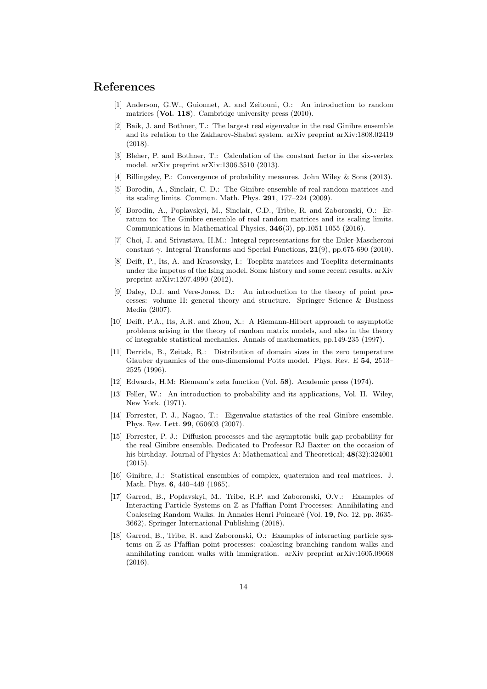#### References

- [1] Anderson, G.W., Guionnet, A. and Zeitouni, O.: An introduction to random matrices (Vol. 118). Cambridge university press (2010).
- [2] Baik, J. and Bothner, T.: The largest real eigenvalue in the real Ginibre ensemble and its relation to the Zakharov-Shabat system. arXiv preprint arXiv:1808.02419 (2018).
- [3] Bleher, P. and Bothner, T.: Calculation of the constant factor in the six-vertex model. arXiv preprint arXiv:1306.3510 (2013).
- [4] Billingsley, P.: Convergence of probability measures. John Wiley & Sons (2013).
- [5] Borodin, A., Sinclair, C. D.: The Ginibre ensemble of real random matrices and its scaling limits. Commun. Math. Phys. 291, 177–224 (2009).
- [6] Borodin, A., Poplavskyi, M., Sinclair, C.D., Tribe, R. and Zaboronski, O.: Erratum to: The Ginibre ensemble of real random matrices and its scaling limits. Communications in Mathematical Physics, 346(3), pp.1051-1055 (2016).
- [7] Choi, J. and Srivastava, H.M.: Integral representations for the Euler-Mascheroni constant  $\gamma$ . Integral Transforms and Special Functions, 21(9), pp.675-690 (2010).
- [8] Deift, P., Its, A. and Krasovsky, I.: Toeplitz matrices and Toeplitz determinants under the impetus of the Ising model. Some history and some recent results. arXiv preprint arXiv:1207.4990 (2012).
- [9] Daley, D.J. and Vere-Jones, D.: An introduction to the theory of point processes: volume II: general theory and structure. Springer Science & Business Media (2007).
- [10] Deift, P.A., Its, A.R. and Zhou, X.: A Riemann-Hilbert approach to asymptotic problems arising in the theory of random matrix models, and also in the theory of integrable statistical mechanics. Annals of mathematics, pp.149-235 (1997).
- [11] Derrida, B., Zeitak, R.: Distribution of domain sizes in the zero temperature Glauber dynamics of the one-dimensional Potts model. Phys. Rev. E 54, 2513– 2525 (1996).
- [12] Edwards, H.M: Riemann's zeta function (Vol. 58). Academic press (1974).
- [13] Feller, W.: An introduction to probability and its applications, Vol. II. Wiley, New York. (1971).
- [14] Forrester, P. J., Nagao, T.: Eigenvalue statistics of the real Ginibre ensemble. Phys. Rev. Lett. 99, 050603 (2007).
- [15] Forrester, P. J.: Diffusion processes and the asymptotic bulk gap probability for the real Ginibre ensemble. Dedicated to Professor RJ Baxter on the occasion of his birthday. Journal of Physics A: Mathematical and Theoretical; 48(32):324001 (2015).
- [16] Ginibre, J.: Statistical ensembles of complex, quaternion and real matrices. J. Math. Phys. **6**, 440-449 (1965).
- [17] Garrod, B., Poplavskyi, M., Tribe, R.P. and Zaboronski, O.V.: Examples of Interacting Particle Systems on Z as Pfaffian Point Processes: Annihilating and Coalescing Random Walks. In Annales Henri Poincaré (Vol. 19, No. 12, pp. 3635-3662). Springer International Publishing (2018).
- [18] Garrod, B., Tribe, R. and Zaboronski, O.: Examples of interacting particle systems on Z as Pfaffian point processes: coalescing branching random walks and annihilating random walks with immigration. arXiv preprint arXiv:1605.09668 (2016).